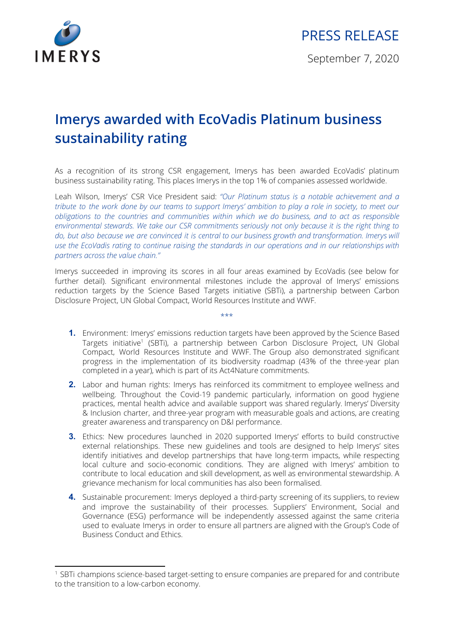

## **Imerys awarded with EcoVadis Platinum business sustainability rating**

As a recognition of its strong CSR engagement, Imerys has been awarded EcoVadis' platinum business sustainability rating. This places Imerys in the top 1% of companies assessed worldwide.

Leah Wilson, Imerys' CSR Vice President said: *"Our Platinum status is a notable achievement and a* tribute to the work done by our teams to support Imerys' ambition to play a role in society, to meet our *obligations to the countries and communities within which we do business, and to act as responsible environmental stewards. We take our CSR commitments seriously not only because it is the right thing to* do, but also because we are convinced it is central to our business growth and transformation. Imerys will *use the EcoVadis rating to continue raising the standards in our operations and in our relationships with partners across the value chain."*

Imerys succeeded in improving its scores in all four areas examined by EcoVadis (see below for further detail). Significant environmental milestones include the approval of Imerys' emissions reduction targets by the Science Based Targets initiative (SBTi), a partnership between Carbon Disclosure Project, UN Global Compact, World Resources Institute and WWF.

\*\*\*

- **1.** Environment: Imerys' emissions reduction targets have been approved by the Science Based Targets initiative<sup>1</sup> (SBTi), a partnership between Carbon Disclosure Project, UN Global Compact, World Resources Institute and WWF. The Group also demonstrated significant progress in the implementation of its biodiversity roadmap (43% of the three-year plan completed in a year), which is part of its Act4Nature commitments.
- **2.** Labor and human rights: Imerys has reinforced its commitment to employee wellness and wellbeing. Throughout the Covid-19 pandemic particularly, information on good hygiene practices, mental health advice and available support was shared regularly. Imerys' Diversity & Inclusion charter, and three-year program with measurable goals and actions, are creating greater awareness and transparency on D&I performance.
- **3.** Ethics: New procedures launched in 2020 supported Imerys' efforts to build constructive external relationships. These new guidelines and tools are designed to help Imerys' sites identify initiatives and develop partnerships that have long-term impacts, while respecting local culture and socio-economic conditions. They are aligned with Imerys' ambition to contribute to local education and skill development, as well as environmental stewardship. A grievance mechanism for local communities has also been formalised.
- **4.** Sustainable procurement: Imerys deployed a third-party screening of its suppliers, to review and improve the sustainability of their processes. Suppliers' Environment, Social and Governance (ESG) performance will be independently assessed against the same criteria used to evaluate Imerys in order to ensure all partners are aligned with the Group's Code of Business Conduct and Ethics.

<sup>1</sup> SBTi champions science-based target-setting to ensure companies are prepared for and contribute to the transition to a low-carbon economy.